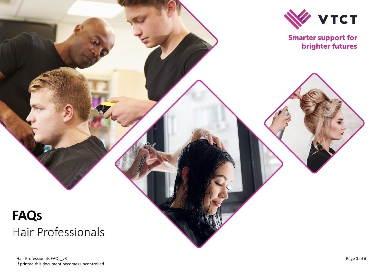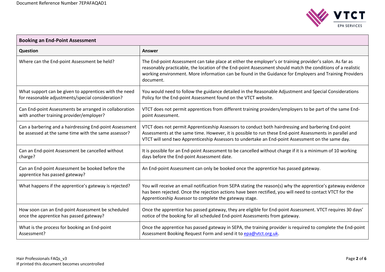

| <b>Booking an End-Point Assessment</b>                                                                          |                                                                                                                                                                                                                                                                                                                                                 |  |
|-----------------------------------------------------------------------------------------------------------------|-------------------------------------------------------------------------------------------------------------------------------------------------------------------------------------------------------------------------------------------------------------------------------------------------------------------------------------------------|--|
| <b>Question</b>                                                                                                 | Answer                                                                                                                                                                                                                                                                                                                                          |  |
| Where can the End-point Assessment be held?                                                                     | The End-point Assessment can take place at either the employer's or training provider's salon. As far as<br>reasonably practicable, the location of the End-point Assessment should match the conditions of a realistic<br>working environment. More information can be found in the Guidance for Employers and Training Providers<br>document. |  |
| What support can be given to apprentices with the need<br>for reasonable adjustments/special consideration?     | You would need to follow the guidance detailed in the Reasonable Adjustment and Special Considerations<br>Policy for the End-point Assessment found on the VTCT website.                                                                                                                                                                        |  |
| Can End-point Assessments be arranged in collaboration<br>with another training provider/employer?              | VTCT does not permit apprentices from different training providers/employers to be part of the same End-<br>point Assessment.                                                                                                                                                                                                                   |  |
| Can a barbering and a hairdressing End-point Assessment<br>be assessed at the same time with the same assessor? | VTCT does not permit Apprenticeship Assessors to conduct both hairdressing and barbering End-point<br>Assessments at the same time. However, it is possible to run these End-point Assessments in parallel and<br>VTCT will send two Apprenticeship Assessors to undertake an End-point Assessment on the same day.                             |  |
| Can an End-point Assessment be cancelled without<br>charge?                                                     | It is possible for an End-point Assessment to be cancelled without charge if it is a minimum of 10 working<br>days before the End-point Assessment date.                                                                                                                                                                                        |  |
| Can an End-point Assessment be booked before the<br>apprentice has passed gateway?                              | An End-point Assessment can only be booked once the apprentice has passed gateway.                                                                                                                                                                                                                                                              |  |
| What happens if the apprentice's gateway is rejected?                                                           | You will receive an email notification from SEPA stating the reason(s) why the apprentice's gateway evidence<br>has been rejected. Once the rejection actions have been rectified, you will need to contact VTCT for the<br>Apprenticeship Assessor to complete the gateway stage.                                                              |  |
| How soon can an End-point Assessment be scheduled<br>once the apprentice has passed gateway?                    | Once the apprentice has passed gateway, they are eligible for End-point Assessment. VTCT requires 30 days'<br>notice of the booking for all scheduled End-point Assessments from gateway.                                                                                                                                                       |  |
| What is the process for booking an End-point<br>Assessment?                                                     | Once the apprentice has passed gateway in SEPA, the training provider is required to complete the End-point<br>Assessment Booking Request Form and send it to epa@vtct.org.uk.                                                                                                                                                                  |  |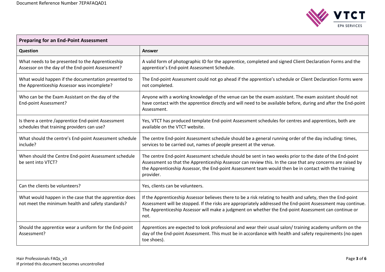$\Box$ 



÷

| <b>Preparing for an End-Point Assessment</b>                                                                |                                                                                                                                                                                                                                                                                                                                              |  |
|-------------------------------------------------------------------------------------------------------------|----------------------------------------------------------------------------------------------------------------------------------------------------------------------------------------------------------------------------------------------------------------------------------------------------------------------------------------------|--|
| Question                                                                                                    | <b>Answer</b>                                                                                                                                                                                                                                                                                                                                |  |
| What needs to be presented to the Apprenticeship<br>Assessor on the day of the End-point Assessment?        | A valid form of photographic ID for the apprentice, completed and signed Client Declaration Forms and the<br>apprentice's End-point Assessment Schedule.                                                                                                                                                                                     |  |
| What would happen if the documentation presented to<br>the Apprenticeship Assessor was incomplete?          | The End-point Assessment could not go ahead if the apprentice's schedule or Client Declaration Forms were<br>not completed.                                                                                                                                                                                                                  |  |
| Who can be the Exam Assistant on the day of the<br>End-point Assessment?                                    | Anyone with a working knowledge of the venue can be the exam assistant. The exam assistant should not<br>have contact with the apprentice directly and will need to be available before, during and after the End-point<br>Assessment.                                                                                                       |  |
| Is there a centre /apprentice End-point Assessment<br>schedules that training providers can use?            | Yes, VTCT has produced template End-point Assessment schedules for centres and apprentices, both are<br>available on the VTCT website.                                                                                                                                                                                                       |  |
| What should the centre's End-point Assessment schedule<br>include?                                          | The centre End-point Assessment schedule should be a general running order of the day including: times,<br>services to be carried out, names of people present at the venue.                                                                                                                                                                 |  |
| When should the Centre End-point Assessment schedule<br>be sent into VTCT?                                  | The centre End-point Assessment schedule should be sent in two weeks prior to the date of the End-point<br>Assessment so that the Apprenticeship Assessor can review this. In the case that any concerns are raised by<br>the Apprenticeship Assessor, the End-point Assessment team would then be in contact with the training<br>provider. |  |
| Can the clients be volunteers?                                                                              | Yes, clients can be volunteers.                                                                                                                                                                                                                                                                                                              |  |
| What would happen in the case that the apprentice does<br>not meet the minimum health and safety standards? | If the Apprenticeship Assessor believes there to be a risk relating to health and safety, then the End-point<br>Assessment will be stopped. If the risks are appropriately addressed the End-point Assessment may continue.<br>The Apprenticeship Assessor will make a judgment on whether the End-point Assessment can continue or<br>not.  |  |
| Should the apprentice wear a uniform for the End-point<br>Assessment?                                       | Apprentices are expected to look professional and wear their usual salon/ training academy uniform on the<br>day of the End-point Assessment. This must be in accordance with health and safety requirements (no open<br>toe shoes).                                                                                                         |  |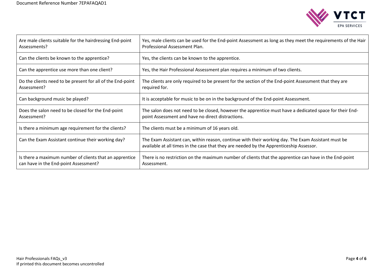

| Are male clients suitable for the hairdressing End-point<br>Assessments?                         | Yes, male clients can be used for the End-point Assessment as long as they meet the requirements of the Hair<br>Professional Assessment Plan.                                                 |
|--------------------------------------------------------------------------------------------------|-----------------------------------------------------------------------------------------------------------------------------------------------------------------------------------------------|
| Can the clients be known to the apprentice?                                                      | Yes, the clients can be known to the apprentice.                                                                                                                                              |
| Can the apprentice use more than one client?                                                     | Yes, the Hair Professional Assessment plan requires a minimum of two clients.                                                                                                                 |
| Do the clients need to be present for all of the End-point<br>Assessment?                        | The clients are only required to be present for the section of the End-point Assessment that they are<br>required for.                                                                        |
| Can background music be played?                                                                  | It is acceptable for music to be on in the background of the End-point Assessment.                                                                                                            |
| Does the salon need to be closed for the End-point<br>Assessment?                                | The salon does not need to be closed, however the apprentice must have a dedicated space for their End-<br>point Assessment and have no direct distractions.                                  |
| Is there a minimum age requirement for the clients?                                              | The clients must be a minimum of 16 years old.                                                                                                                                                |
| Can the Exam Assistant continue their working day?                                               | The Exam Assistant can, within reason, continue with their working day. The Exam Assistant must be<br>available at all times in the case that they are needed by the Apprenticeship Assessor. |
| Is there a maximum number of clients that an apprentice<br>can have in the End-point Assessment? | There is no restriction on the maximum number of clients that the apprentice can have in the End-point<br>Assessment.                                                                         |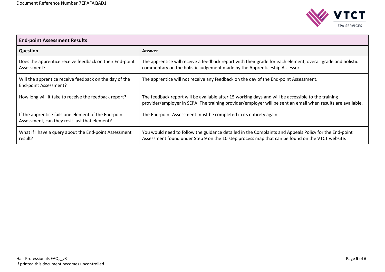

| <b>End-point Assessment Results</b>                                                                   |                                                                                                                                                                                                                   |  |
|-------------------------------------------------------------------------------------------------------|-------------------------------------------------------------------------------------------------------------------------------------------------------------------------------------------------------------------|--|
| <b>Question</b>                                                                                       | Answer                                                                                                                                                                                                            |  |
| Does the apprentice receive feedback on their End-point<br>Assessment?                                | The apprentice will receive a feedback report with their grade for each element, overall grade and holistic<br>commentary on the holistic judgement made by the Apprenticeship Assessor.                          |  |
| Will the apprentice receive feedback on the day of the<br>End-point Assessment?                       | The apprentice will not receive any feedback on the day of the End-point Assessment.                                                                                                                              |  |
| How long will it take to receive the feedback report?                                                 | The feedback report will be available after 15 working days and will be accessible to the training<br>provider/employer in SEPA. The training provider/employer will be sent an email when results are available. |  |
| If the apprentice fails one element of the End-point<br>Assessment, can they resit just that element? | The End-point Assessment must be completed in its entirety again.                                                                                                                                                 |  |
| What if I have a query about the End-point Assessment<br>result?                                      | You would need to follow the guidance detailed in the Complaints and Appeals Policy for the End-point<br>Assessment found under Step 9 on the 10 step process map that can be found on the VTCT website.          |  |